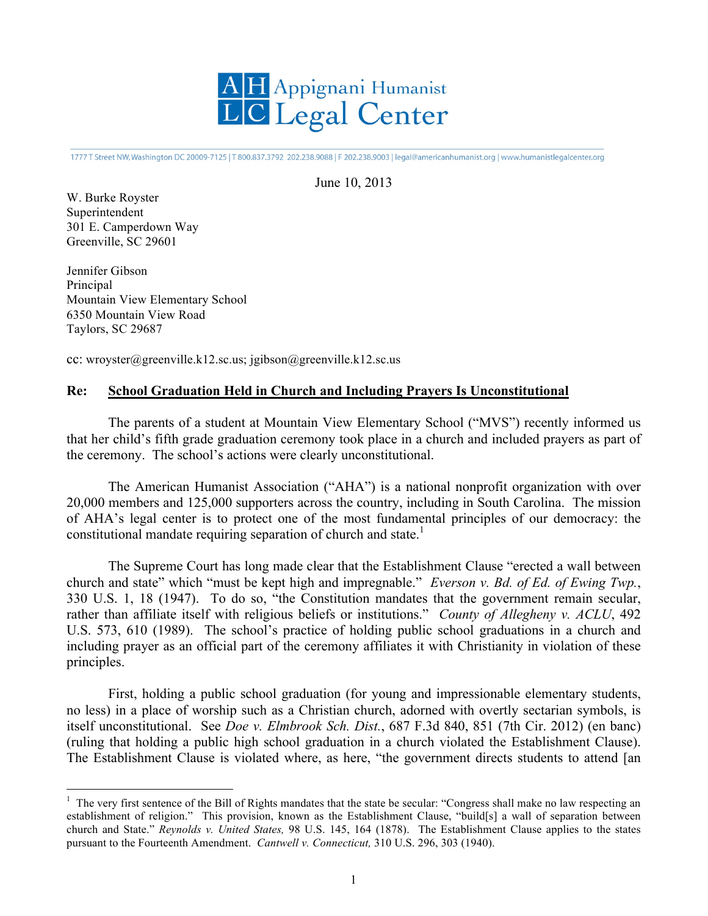

1777 T Street NW, Washington DC 20009-7125 | T 800.837.3792 202.238.9088 | F 202.238.9003 | legal@americanhumanist.org | www.humanistlegalcenter.org

## June 10, 2013

W. Burke Royster Superintendent 301 E. Camperdown Way Greenville, SC 29601

Jennifer Gibson Principal Mountain View Elementary School 6350 Mountain View Road Taylors, SC 29687

cc: wroyster@greenville.k12.sc.us; jgibson@greenville.k12.sc.us

## **Re: School Graduation Held in Church and Including Prayers Is Unconstitutional**

The parents of a student at Mountain View Elementary School ("MVS") recently informed us that her child's fifth grade graduation ceremony took place in a church and included prayers as part of the ceremony. The school's actions were clearly unconstitutional.

The American Humanist Association ("AHA") is a national nonprofit organization with over 20,000 members and 125,000 supporters across the country, including in South Carolina. The mission of AHA's legal center is to protect one of the most fundamental principles of our democracy: the constitutional mandate requiring separation of church and state.<sup>1</sup>

The Supreme Court has long made clear that the Establishment Clause "erected a wall between church and state" which "must be kept high and impregnable." *Everson v. Bd. of Ed. of Ewing Twp.*, 330 U.S. 1, 18 (1947). To do so, "the Constitution mandates that the government remain secular, rather than affiliate itself with religious beliefs or institutions." *County of Allegheny v. ACLU*, 492 U.S. 573, 610 (1989). The school's practice of holding public school graduations in a church and including prayer as an official part of the ceremony affiliates it with Christianity in violation of these principles.

First, holding a public school graduation (for young and impressionable elementary students, no less) in a place of worship such as a Christian church, adorned with overtly sectarian symbols, is itself unconstitutional. See *Doe v. Elmbrook Sch. Dist.*, 687 F.3d 840, 851 (7th Cir. 2012) (en banc) (ruling that holding a public high school graduation in a church violated the Establishment Clause). The Establishment Clause is violated where, as here, "the government directs students to attend [an

The very first sentence of the Bill of Rights mandates that the state be secular: "Congress shall make no law respecting an establishment of religion." This provision, known as the Establishment Clause, "build[s] a wall of separation between church and State." *Reynolds v. United States,* 98 U.S. 145, 164 (1878). The Establishment Clause applies to the states pursuant to the Fourteenth Amendment. *Cantwell v. Connecticut,* 310 U.S. 296, 303 (1940).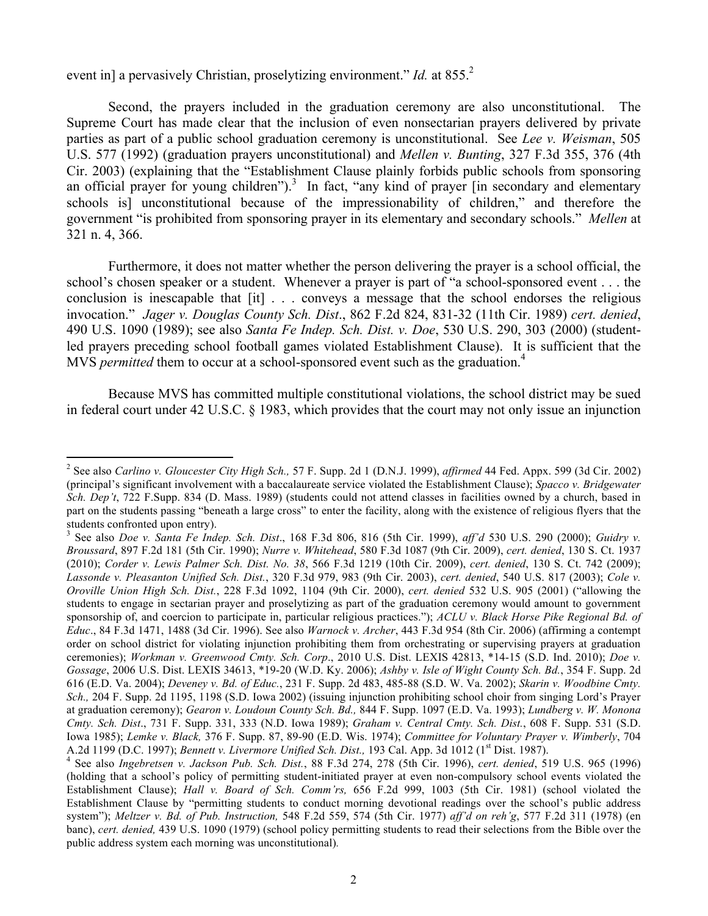event in] a pervasively Christian, proselytizing environment." *Id.* at 855.<sup>2</sup>

Second, the prayers included in the graduation ceremony are also unconstitutional. The Supreme Court has made clear that the inclusion of even nonsectarian prayers delivered by private parties as part of a public school graduation ceremony is unconstitutional. See *Lee v. Weisman*, 505 U.S. 577 (1992) (graduation prayers unconstitutional) and *Mellen v. Bunting*, 327 F.3d 355, 376 (4th Cir. 2003) (explaining that the "Establishment Clause plainly forbids public schools from sponsoring an official prayer for young children").<sup>3</sup> In fact, "any kind of prayer [in secondary and elementary schools is] unconstitutional because of the impressionability of children," and therefore the government "is prohibited from sponsoring prayer in its elementary and secondary schools." *Mellen* at 321 n. 4, 366.

Furthermore, it does not matter whether the person delivering the prayer is a school official, the school's chosen speaker or a student. Whenever a prayer is part of "a school-sponsored event . . . the conclusion is inescapable that [it] . . . conveys a message that the school endorses the religious invocation." *Jager v. Douglas County Sch. Dist*., 862 F.2d 824, 831-32 (11th Cir. 1989) *cert. denied*, 490 U.S. 1090 (1989); see also *Santa Fe Indep. Sch. Dist. v. Doe*, 530 U.S. 290, 303 (2000) (studentled prayers preceding school football games violated Establishment Clause). It is sufficient that the MVS *permitted* them to occur at a school-sponsored event such as the graduation.<sup>4</sup>

Because MVS has committed multiple constitutional violations, the school district may be sued in federal court under 42 U.S.C. § 1983, which provides that the court may not only issue an injunction

 <sup>2</sup> See also *Carlino v. Gloucester City High Sch.,* 57 F. Supp. 2d 1 (D.N.J. 1999), *affirmed* 44 Fed. Appx. 599 (3d Cir. 2002) (principal's significant involvement with a baccalaureate service violated the Establishment Clause); *Spacco v. Bridgewater Sch. Dep't*, 722 F.Supp. 834 (D. Mass. 1989) (students could not attend classes in facilities owned by a church, based in part on the students passing "beneath a large cross" to enter the facility, along with the existence of religious flyers that the students confronted upon entry).

See also *Doe v. Santa Fe Indep. Sch. Dist*., 168 F.3d 806, 816 (5th Cir. 1999), *aff'd* 530 U.S. 290 (2000); *Guidry v. Broussard*, 897 F.2d 181 (5th Cir. 1990); *Nurre v. Whitehead*, 580 F.3d 1087 (9th Cir. 2009), *cert. denied*, 130 S. Ct. 1937 (2010); *Corder v. Lewis Palmer Sch. Dist. No. 38*, 566 F.3d 1219 (10th Cir. 2009), *cert. denied*, 130 S. Ct. 742 (2009); *Lassonde v. Pleasanton Unified Sch. Dist.*, 320 F.3d 979, 983 (9th Cir. 2003), *cert. denied*, 540 U.S. 817 (2003); *Cole v. Oroville Union High Sch. Dist.*, 228 F.3d 1092, 1104 (9th Cir. 2000), *cert. denied* 532 U.S. 905 (2001) ("allowing the students to engage in sectarian prayer and proselytizing as part of the graduation ceremony would amount to government sponsorship of, and coercion to participate in, particular religious practices."); *ACLU v. Black Horse Pike Regional Bd. of Educ*., 84 F.3d 1471, 1488 (3d Cir. 1996). See also *Warnock v. Archer*, 443 F.3d 954 (8th Cir. 2006) (affirming a contempt order on school district for violating injunction prohibiting them from orchestrating or supervising prayers at graduation ceremonies); *Workman v. Greenwood Cmty. Sch. Corp*., 2010 U.S. Dist. LEXIS 42813, \*14-15 (S.D. Ind. 2010); *Doe v. Gossage*, 2006 U.S. Dist. LEXIS 34613, \*19-20 (W.D. Ky. 2006); *Ashby v. Isle of Wight County Sch. Bd.*, 354 F. Supp. 2d 616 (E.D. Va. 2004); *Deveney v. Bd. of Educ.*, 231 F. Supp. 2d 483, 485-88 (S.D. W. Va. 2002); *Skarin v. Woodbine Cmty. Sch.,* 204 F. Supp. 2d 1195, 1198 (S.D. Iowa 2002) (issuing injunction prohibiting school choir from singing Lord's Prayer at graduation ceremony); *Gearon v. Loudoun County Sch. Bd.,* 844 F. Supp. 1097 (E.D. Va. 1993); *Lundberg v. W. Monona Cmty. Sch. Dist*., 731 F. Supp. 331, 333 (N.D. Iowa 1989); *Graham v. Central Cmty. Sch. Dist.*, 608 F. Supp. 531 (S.D. Iowa 1985); *Lemke v. Black,* 376 F. Supp. 87, 89-90 (E.D. Wis. 1974); *Committee for Voluntary Prayer v. Wimberly*, 704 A.2d 1199 (D.C. 1997); *Bennett v. Livermore Unified Sch. Dist.*, 193 Cal. App. 3d 1012 (1<sup>st</sup> Dist. 1987).

See also *Ingebretsen v. Jackson Pub. Sch. Dist.*, 88 F.3d 274, 278 (5th Cir. 1996), *cert. denied*, 519 U.S. 965 (1996) (holding that a school's policy of permitting student-initiated prayer at even non-compulsory school events violated the Establishment Clause); *Hall v. Board of Sch. Comm'rs,* 656 F.2d 999, 1003 (5th Cir. 1981) (school violated the Establishment Clause by "permitting students to conduct morning devotional readings over the school's public address system"); *Meltzer v. Bd. of Pub. Instruction,* 548 F.2d 559, 574 (5th Cir. 1977) *aff'd on reh'g*, 577 F.2d 311 (1978) (en banc), *cert. denied,* 439 U.S. 1090 (1979) (school policy permitting students to read their selections from the Bible over the public address system each morning was unconstitutional)*.*